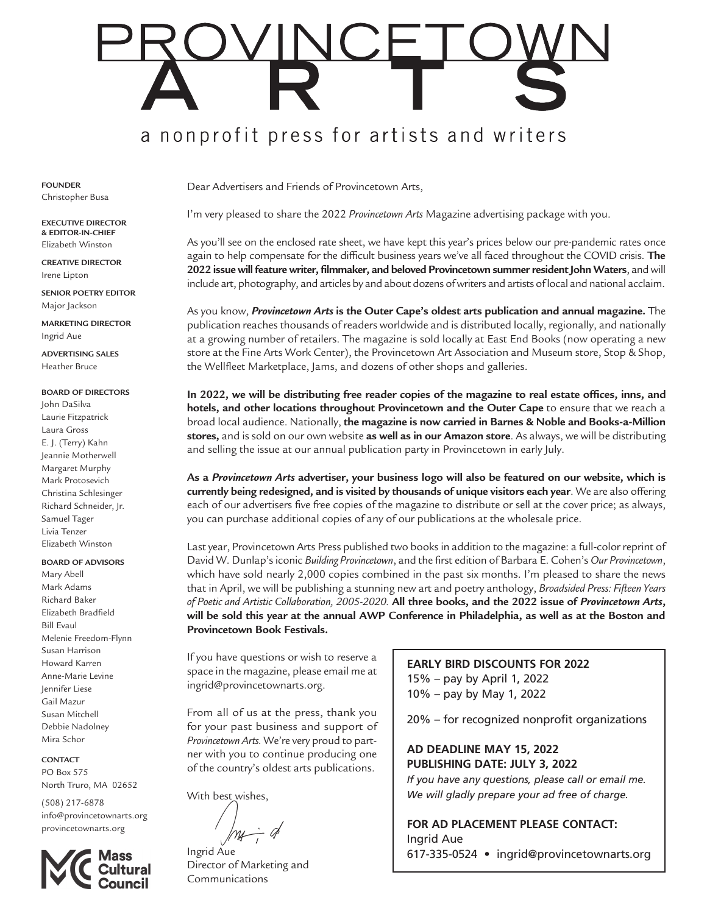# a nonprofit press for artists and writers

**FOUNDER** Christopher Busa

**EXECUTIVE DIRECTOR & EDITOR-IN-CHIEF**  Elizabeth Winston

**CREATIVE DIRECTOR**  Irene Lipton

**SENIOR POETRY EDITOR**  Major Jackson

**MARKETING DIRECTOR**  Ingrid Aue

**ADVERTISING SALES**  Heather Bruce

# **BOARD OF DIRECTORS**

John DaSilva Laurie Fitzpatrick Laura Gross E. J. (Terry) Kahn Jeannie Motherwell Margaret Murphy Mark Protosevich Christina Schlesinger Richard Schneider, Jr. Samuel Tager Livia Tenzer Elizabeth Winston

# **BOARD OF ADVISORS**

Mary Abell Mark Adams Richard Baker Elizabeth Bradfield Bill Evaul Melenie Freedom-Flynn Susan Harrison Howard Karren Anne-Marie Levine Jennifer Liese Gail Mazur Susan Mitchell Debbie Nadolney Mira Schor

# **CONTACT**

PO Box 575 North Truro, MA 02652

(508) 217-6878 info@provincetownarts.org provincetownarts.org



Dear Advertisers and Friends of Provincetown Arts,

I'm very pleased to share the 2022 *Provincetown Arts* Magazine advertising package with you.

As you'll see on the enclosed rate sheet, we have kept this year's prices below our pre-pandemic rates once again to help compensate for the difficult business years we've all faced throughout the COVID crisis. **The 2022 issue will feature writer, filmmaker, and beloved Provincetown summer resident John Waters**, and will include art, photography, and articles by and about dozens of writers and artists of local and national acclaim.

As you know, *Provincetown Arts* **is the Outer Cape's oldest arts publication and annual magazine.** The publication reaches thousands of readers worldwide and is distributed locally, regionally, and nationally at a growing number of retailers. The magazine is sold locally at East End Books (now operating a new store at the Fine Arts Work Center), the Provincetown Art Association and Museum store, Stop & Shop, the Wellfleet Marketplace, Jams, and dozens of other shops and galleries.

**In 2022, we will be distributing free reader copies of the magazine to real estate offices, inns, and hotels, and other locations throughout Provincetown and the Outer Cape** to ensure that we reach a broad local audience. Nationally, **the magazine is now carried in Barnes & Noble and Books-a-Million stores,** and is sold on our own website **as well as in our Amazon store**. As always, we will be distributing and selling the issue at our annual publication party in Provincetown in early July.

**As a** *Provincetown Arts* **advertiser, your business logo will also be featured on our website, which is currently being redesigned, and is visited by thousands of unique visitors each year**. We are also offering each of our advertisers five free copies of the magazine to distribute or sell at the cover price; as always, you can purchase additional copies of any of our publications at the wholesale price.

Last year, Provincetown Arts Press published two books in addition to the magazine: a full-color reprint of David W. Dunlap's iconic *Building Provincetown*, and the first edition of Barbara E. Cohen's *Our Provincetown*, which have sold nearly 2,000 copies combined in the past six months. I'm pleased to share the news that in April, we will be publishing a stunning new art and poetry anthology, *Broadsided Press: Fifteen Years of Poetic and Artistic Collaboration, 2005-2020.* **All three books, and the 2022 issue of** *Provincetown Arts***, will be sold this year at the annual AWP Conference in Philadelphia, as well as at the Boston and Provincetown Book Festivals.** 

If you have questions or wish to reserve a space in the magazine, please email me at ingrid@provincetownarts.org.

From all of us at the press, thank you for your past business and support of *Provincetown Arts.* We're very proud to partner with you to continue producing one of the country's oldest arts publications.

With best wishes,

Ingrid Aue

Director of Marketing and Communications

# **EARLY BIRD DISCOUNTS FOR 2022** 15% – pay by April 1, 2022

10% – pay by May 1, 2022

20% – for recognized nonprofit organizations

**AD DEADLINE MAY 15, 2022 PUBLISHING DATE: JULY 3, 2022**

*If you have any questions, please call or email me. We will gladly prepare your ad free of charge.*

# **FOR AD PLACEMENT PLEASE CONTACT:** Ingrid Aue

617-335-0524 • ingrid@provincetownarts.org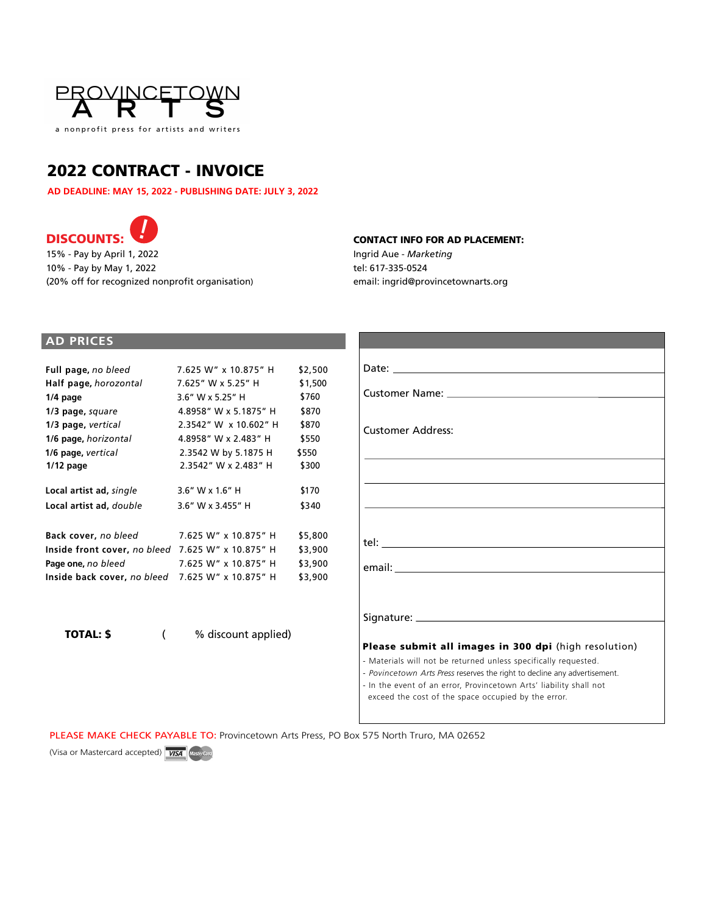

# 2022 CONTRACT - INVOICE

**AD DEADLINE: MAY 15, 2022 - PUBLISHING DATE: JULY 3, 2022**



15% - Pay by April 1, 2022 10% - Pay by May 1, 2022 (20% off for recognized nonprofit organisation)

# CONTACT INFO FOR AD PLACEMENT:

Ingrid Aue - *Marketing* tel: 617-335-0524 email: ingrid@provincetownarts.org

# **AD PRICES**

| 7.625 W" x 10.875" H         | \$2,500 |
|------------------------------|---------|
| 7.625" W x 5.25" H           | \$1,500 |
| $3.6''$ W x 5.25" H          | \$760   |
| 4.8958" W x 5.1875" H        | \$870   |
| 2.3542" W x 10.602" H        | \$870   |
| 4.8958" W x 2.483" H         | \$550   |
| 2.3542 W by 5.1875 H         | \$550   |
| 2.3542" W x 2.483" H         | \$300   |
| $3.6''$ W x $1.6''$ H        | \$170   |
| $3.6''$ W x $3.455''$ H      | \$340   |
| 7.625 W" x 10.875" H         | \$5,800 |
| 7.625 W" x 10.875" H         | \$3,900 |
| 7.625 W" x 10.875" H         | \$3,900 |
| 7.625 W" x 10.875" H         | \$3,900 |
| Inside front cover, no bleed |         |

TOTAL: \$ ( % discount applied)

| <b>Customer Address:</b>                                                                                                                     |
|----------------------------------------------------------------------------------------------------------------------------------------------|
|                                                                                                                                              |
|                                                                                                                                              |
|                                                                                                                                              |
|                                                                                                                                              |
|                                                                                                                                              |
|                                                                                                                                              |
|                                                                                                                                              |
|                                                                                                                                              |
|                                                                                                                                              |
| Please submit all images in 300 dpi (high resolution)                                                                                        |
| - Materials will not be returned unless specifically requested.<br>- Povincetown Arts Press reserves the right to decline any advertisement. |
| - In the event of an error, Provincetown Arts' liability shall not                                                                           |
| exceed the cost of the space occupied by the error.                                                                                          |

PLEASE MAKE CHECK PAYABLE TO: Provincetown Arts Press, PO Box 575 North Truro, MA 02652

(Visa or Mastercard accepted) **WSA** Mastercard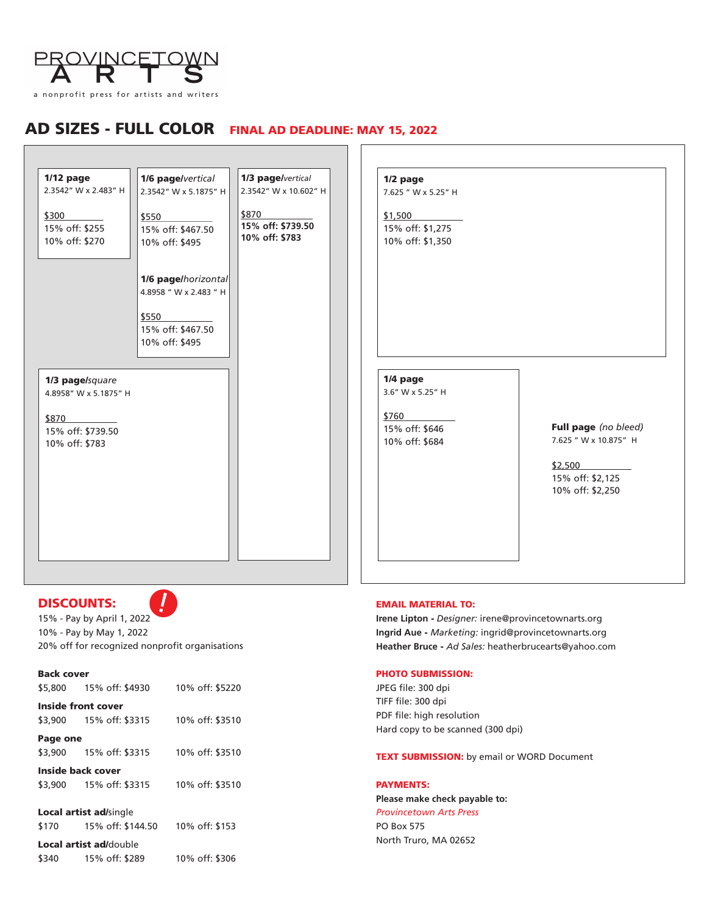

# AD SIZES - FULL COLORFINAL AD DEADLINE: MAY 15, 2022

| $1/12$ page<br>2.3542" W x 2.483" H          | 1/6 page/vertical<br>2.3542" W x 5.1875" H                                                    | 1/3 page/vertical<br>2.3542" W x 10.602" H   | 1/2 page<br>7.625 " W x 5.25" H                 |                                                                                                  |
|----------------------------------------------|-----------------------------------------------------------------------------------------------|----------------------------------------------|-------------------------------------------------|--------------------------------------------------------------------------------------------------|
| \$300<br>15% off: \$255<br>10% off: \$270    | \$550<br>15% off: \$467.50<br>10% off: \$495                                                  | \$870<br>15% off: \$739.50<br>10% off: \$783 | \$1,500<br>15% off: \$1,275<br>10% off: \$1,350 |                                                                                                  |
|                                              | 1/6 page/horizontal<br>4.8958 " W x 2.483 " H<br>\$550<br>15% off: \$467.50<br>10% off: \$495 |                                              |                                                 |                                                                                                  |
| 1/3 page/square<br>4.8958" W x 5.1875" H     |                                                                                               |                                              | 1/4 page<br>3.6" W x 5.25" H<br>\$760           |                                                                                                  |
| \$870<br>15% off: \$739.50<br>10% off: \$783 |                                                                                               |                                              | 15% off: \$646<br>10% off: \$684                | Full page (no bleed)<br>7.625 " W x 10.875" H<br>\$2,500<br>15% off: \$2,125<br>10% off: \$2,250 |
|                                              |                                                                                               |                                              |                                                 |                                                                                                  |

 $\sqrt{ }$ 

# DISCOUNTS:



15% - Pay by April 1, 2022 10% - Pay by May 1, 2022 20% off for recognized nonprofit organisations

Back cover

\$5,800 15% off: \$4930 10% off: \$5220

Inside front cover \$3,900 15% off: \$3315 10% off: \$3510

Page one

\$3,900 15% off: \$3315 10% off: \$3510

Inside back cover \$3,900 15% off: \$3315 10% off: \$3510

Local artist ad/single

\$170 15% off: \$144.50 10% off: \$153

Local artist ad/double

\$340 15% off: \$289 10% off: \$306

# EMAIL MATERIAL TO:

**Irene Lipton** - *Designer:* irene@provincetownarts.org **Ingrid Aue** - *Marketing:* ingrid@provincetownarts.org **Heather Bruce** - *Ad Sales:* heatherbrucearts@yahoo.com

# PHOTO SUBMISSION:

JPEG file: 300 dpi TIFF file: 300 dpi PDF file: high resolution Hard copy to be scanned (300 dpi)

**TEXT SUBMISSION:** by email or WORD Document

PAYMENTS:

**Please make check payable to:** *Provincetown Arts Press* PO Box 575 North Truro, MA 02652